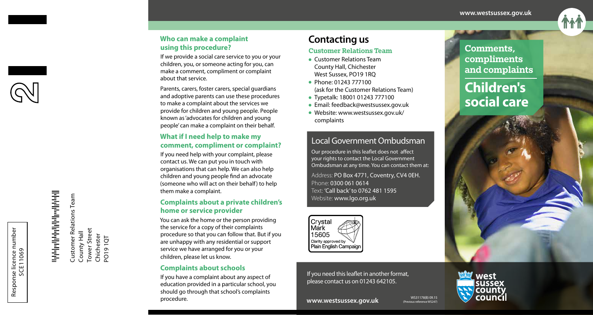

#### **Who can make a complaint using this procedure?**

If we provide a social care service to you or your children, you, or someone acting for you, can make a comment, compliment or complaint about that service.

Parents, carers, foster carers, special guardians and adoptive parents can use these procedures to make a complaint about the services we provide for children and young people. People known as 'advocates for children and young people' can make a complaint on their behalf.

#### **What if I need help to make my comment, compliment or complaint?**

If you need help with your complaint, please contact us. We can put you in touch with organisations that can help. We can also help children and young people find an advocate (someone who will act on their behalf) to help them make a complaint.

### **Complaints about a private children's home or service provider**

You can ask the home or the person providing the service for a copy of their complaints procedure so that you can follow that. But if you are unhappy with any residential or support service we have arranged for you or your children, please let us know.

### **Complaints about schools**

If you have a complaint about any aspect of education provided in a particular school, you should go through that school's complaints procedure.

## **Contacting us**

#### Customer Relations Team

- **Customer Relations Team** County Hall, Chichester West Sussex, PO19 1RQ
- Phone: 01243 777100 (ask for the Customer Relations Team)
- <sup>l</sup> Typetalk: 18001 01243 777100
- Email: feedback@westsussex.gov.uk
- <sup>l</sup> Website: www.westsussex.gov.uk/ complaints

### Local Government Ombudsman

Our procedure in this leaflet does not affect your rights to contact the Local Government Ombudsman at any time. You can contact them at:

Address: PO Box 4771, Coventry, CV4 0EH. Phone: 0300 061 0614 Text: 'Call back' to 0762 481 1595 Website: www.lgo.org.uk



If you need this leaflet in another format, please contact us on 01243 642105.

# Comments, compliments and complaints **Children's social care**

Customer Relations Team

Customer Relations Team

County Hall Tower Street Chichester PO19 1QT

County Hall

Tower Street<br>Chichester<br>PO19 1QT

se licence number<br>SCE11069<br>
1 SCE11069

Response licence number

Response licence number

WS31178(B) 09.15



west